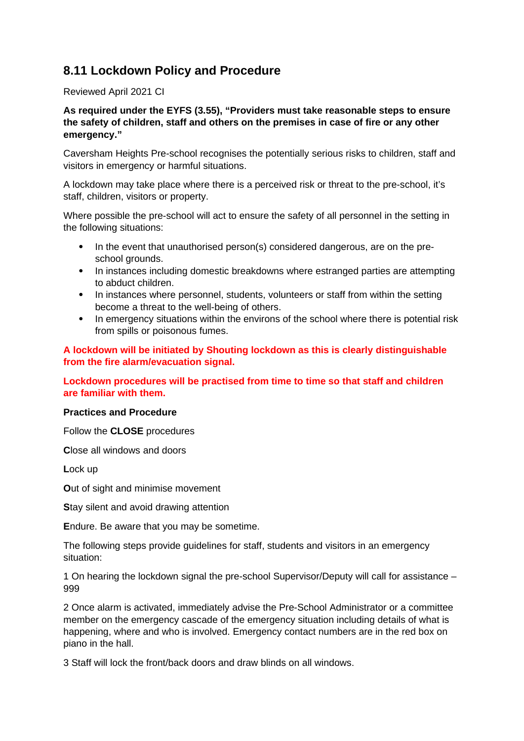# **8.11 Lockdown Policy and Procedure**

# Reviewed April 2021 CI

# **As required under the EYFS (3.55), "Providers must take reasonable steps to ensure the safety of children, staff and others on the premises in case of fire or any other emergency."**

Caversham Heights Pre-school recognises the potentially serious risks to children, staff and visitors in emergency or harmful situations.

A lockdown may take place where there is a perceived risk or threat to the pre-school, it's staff, children, visitors or property.

Where possible the pre-school will act to ensure the safety of all personnel in the setting in the following situations:

- In the event that unauthorised person(s) considered dangerous, are on the preschool grounds.
- In instances including domestic breakdowns where estranged parties are attempting to abduct children.
- In instances where personnel, students, volunteers or staff from within the setting become a threat to the well-being of others.
- In emergency situations within the environs of the school where there is potential risk from spills or poisonous fumes.

**A lockdown will be initiated by Shouting lockdown as this is clearly distinguishable from the fire alarm/evacuation signal.**

# **Lockdown procedures will be practised from time to time so that staff and children are familiar with them.**

# **Practices and Procedure**

Follow the **CLOSE** procedures

**C**lose all windows and doors

**L**ock up

**O**ut of sight and minimise movement

**S**tay silent and avoid drawing attention

**E**ndure. Be aware that you may be sometime.

The following steps provide guidelines for staff, students and visitors in an emergency situation:

1 On hearing the lockdown signal the pre-school Supervisor/Deputy will call for assistance – 999

2 Once alarm is activated, immediately advise the Pre-School Administrator or a committee member on the emergency cascade of the emergency situation including details of what is happening, where and who is involved. Emergency contact numbers are in the red box on piano in the hall.

3 Staff will lock the front/back doors and draw blinds on all windows.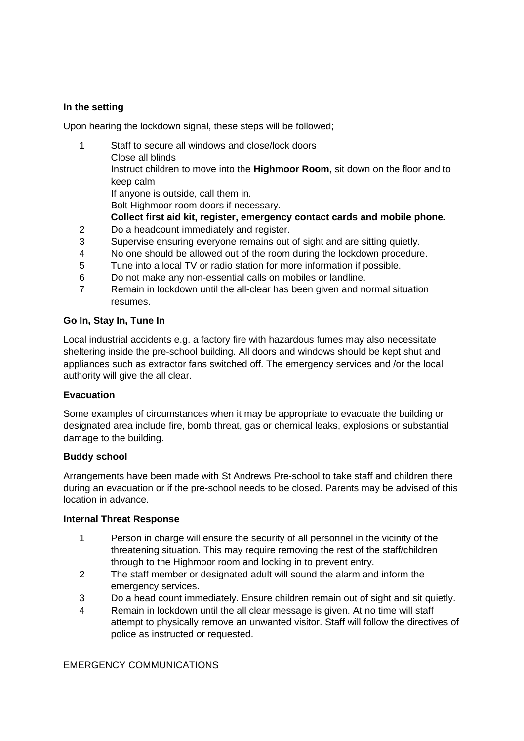# **In the setting**

Upon hearing the lockdown signal, these steps will be followed;

- 1 Staff to secure all windows and close/lock doors Close all blinds Instruct children to move into the **Highmoor Room**, sit down on the floor and to
	- keep calm

If anyone is outside, call them in.

Bolt Highmoor room doors if necessary.

- **Collect first aid kit, register, emergency contact cards and mobile phone.**
- 2 Do a headcount immediately and register.
- 3 Supervise ensuring everyone remains out of sight and are sitting quietly.
- 4 No one should be allowed out of the room during the lockdown procedure.
- 5 Tune into a local TV or radio station for more information if possible.
- 6 Do not make any non-essential calls on mobiles or landline.
- 7 Remain in lockdown until the all-clear has been given and normal situation resumes.

#### **Go In, Stay In, Tune In**

Local industrial accidents e.g. a factory fire with hazardous fumes may also necessitate sheltering inside the pre-school building. All doors and windows should be kept shut and appliances such as extractor fans switched off. The emergency services and /or the local authority will give the all clear.

# **Evacuation**

Some examples of circumstances when it may be appropriate to evacuate the building or designated area include fire, bomb threat, gas or chemical leaks, explosions or substantial damage to the building.

# **Buddy school**

Arrangements have been made with St Andrews Pre-school to take staff and children there during an evacuation or if the pre-school needs to be closed. Parents may be advised of this location in advance.

# **Internal Threat Response**

- 1 Person in charge will ensure the security of all personnel in the vicinity of the threatening situation. This may require removing the rest of the staff/children through to the Highmoor room and locking in to prevent entry.
- 2 The staff member or designated adult will sound the alarm and inform the emergency services.
- 3 Do a head count immediately. Ensure children remain out of sight and sit quietly.
- 4 Remain in lockdown until the all clear message is given. At no time will staff attempt to physically remove an unwanted visitor. Staff will follow the directives of police as instructed or requested.

EMERGENCY COMMUNICATIONS